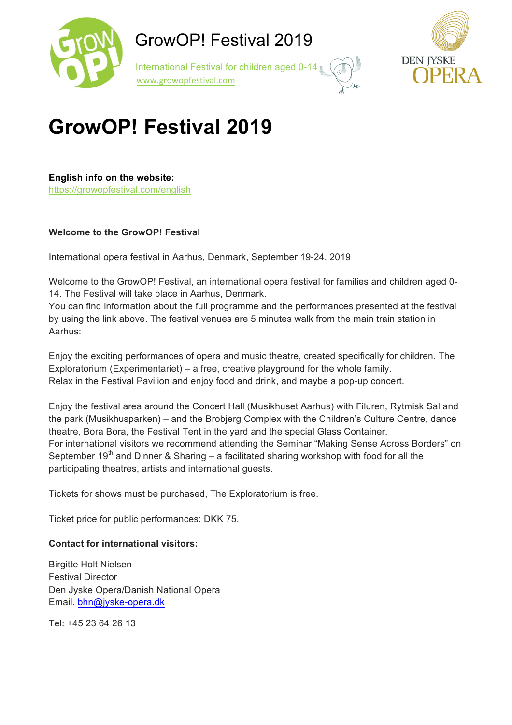

 International Festival for children aged 0-14 www.growopfestival.com



## **GrowOP! Festival 2019**

**English info on the website:** https://growopfestival.com/english

#### **Welcome to the GrowOP! Festival**

International opera festival in Aarhus, Denmark, September 19-24, 2019

Welcome to the GrowOP! Festival, an international opera festival for families and children aged 0- 14. The Festival will take place in Aarhus, Denmark.

You can find information about the full programme and the performances presented at the festival by using the link above. The festival venues are 5 minutes walk from the main train station in Aarhus:

Enjoy the exciting performances of opera and music theatre, created specifically for children. The Exploratorium (Experimentariet) – a free, creative playground for the whole family. Relax in the Festival Pavilion and enjoy food and drink, and maybe a pop-up concert.

Enjoy the festival area around the Concert Hall (Musikhuset Aarhus) with Filuren, Rytmisk Sal and the park (Musikhusparken) – and the Brobjerg Complex with the Children's Culture Centre, dance theatre, Bora Bora, the Festival Tent in the yard and the special Glass Container. For international visitors we recommend attending the Seminar "Making Sense Across Borders" on September 19<sup>th</sup> and Dinner & Sharing – a facilitated sharing workshop with food for all the participating theatres, artists and international guests.

Tickets for shows must be purchased, The Exploratorium is free.

Ticket price for public performances: DKK 75.

#### **Contact for international visitors:**

Birgitte Holt Nielsen Festival Director Den Jyske Opera/Danish National Opera Email. bhn@jyske-opera.dk

Tel: +45 23 64 26 13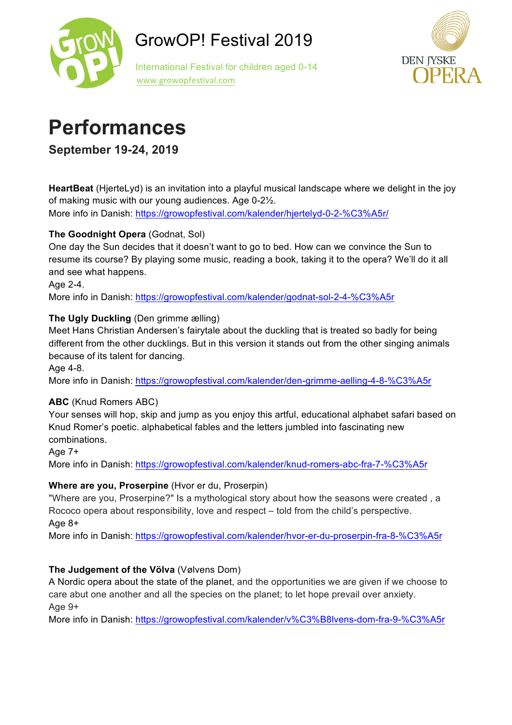

 International Festival for children aged 0-14 www.growopfestival.com



### **Performances**

**September 19-24, 2019**

**HeartBeat** (HjerteLyd) is an invitation into a playful musical landscape where we delight in the joy of making music with our young audiences. Age 0-2½. More info in Danish: https://growopfestival.com/kalender/hjertelyd-0-2-%C3%A5r/

### **The Goodnight Opera** (Godnat, Sol)

One day the Sun decides that it doesn't want to go to bed. How can we convince the Sun to resume its course? By playing some music, reading a book, taking it to the opera? We'll do it all and see what happens.

Age 2-4.

More info in Danish: https://growopfestival.com/kalender/godnat-sol-2-4-%C3%A5r

### **The Ugly Duckling** (Den grimme ælling)

Meet Hans Christian Andersen's fairytale about the duckling that is treated so badly for being different from the other ducklings. But in this version it stands out from the other singing animals because of its talent for dancing.

Age 4-8.

More info in Danish: https://growopfestival.com/kalender/den-grimme-aelling-4-8-%C3%A5r

### **ABC** (Knud Romers ABC)

Your senses will hop, skip and jump as you enjoy this artful, educational alphabet safari based on Knud Romer's poetic. alphabetical fables and the letters jumbled into fascinating new combinations.

Age 7+

More info in Danish: https://growopfestival.com/kalender/knud-romers-abc-fra-7-%C3%A5r

### **Where are you, Proserpine** (Hvor er du, Proserpin)

"Where are you, Proserpine?" Is a mythological story about how the seasons were created , a Rococo opera about responsibility, love and respect – told from the child's perspective. Age 8+

More info in Danish: https://growopfestival.com/kalender/hvor-er-du-proserpin-fra-8-%C3%A5r

### **The Judgement of the Völva** (Vølvens Dom)

A Nordic opera about the state of the planet, and the opportunities we are given if we choose to care abut one another and all the species on the planet; to let hope prevail over anxiety. Age 9+

More info in Danish: https://growopfestival.com/kalender/v%C3%B8lvens-dom-fra-9-%C3%A5r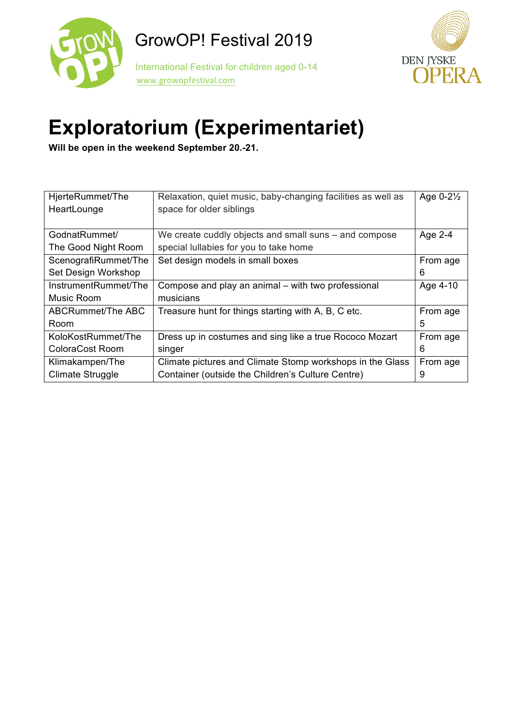



## **Exploratorium (Experimentariet)**

**Will be open in the weekend September 20.-21.**

| HjerteRummet/The     | Relaxation, quiet music, baby-changing facilities as well as | Age $0-2\frac{1}{2}$ |
|----------------------|--------------------------------------------------------------|----------------------|
| HeartLounge          | space for older siblings                                     |                      |
|                      |                                                              |                      |
| GodnatRummet/        | We create cuddly objects and small suns – and compose        | Age 2-4              |
| The Good Night Room  | special lullabies for you to take home                       |                      |
| ScenografiRummet/The | Set design models in small boxes                             | From age             |
| Set Design Workshop  |                                                              | 6                    |
| InstrumentRummet/The | Compose and play an animal - with two professional           | Age 4-10             |
| Music Room           | musicians                                                    |                      |
| ABCRummet/The ABC    | Treasure hunt for things starting with A, B, C etc.          | From age             |
| Room                 |                                                              | 5                    |
| KoloKostRummet/The   | Dress up in costumes and sing like a true Rococo Mozart      | From age             |
| ColoraCost Room      | singer                                                       | 6                    |
| Klimakampen/The      | Climate pictures and Climate Stomp workshops in the Glass    | From age             |
| Climate Struggle     | Container (outside the Children's Culture Centre)            | 9                    |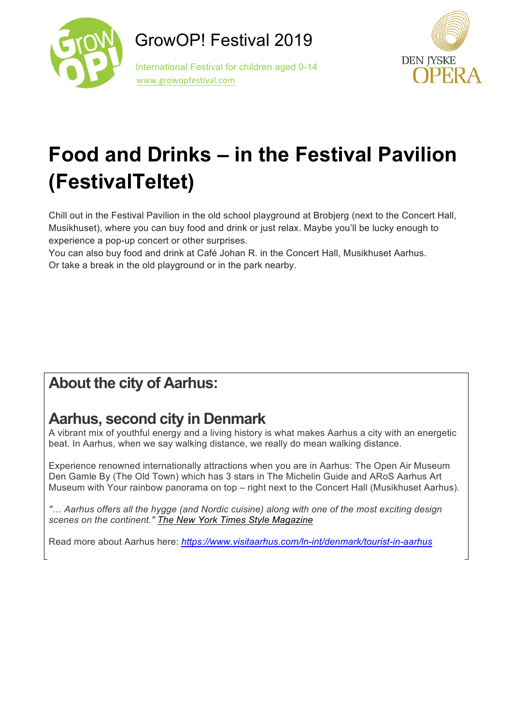



# **Food and Drinks – in the Festival Pavilion (FestivalTeltet)**

Chill out in the Festival Pavilion in the old school playground at Brobjerg (next to the Concert Hall, Musikhuset), where you can buy food and drink or just relax. Maybe you'll be lucky enough to experience a pop-up concert or other surprises.

You can also buy food and drink at Café Johan R. in the Concert Hall, Musikhuset Aarhus. Or take a break in the old playground or in the park nearby.

### **About the city of Aarhus:**

### **Aarhus, second city in Denmark**

A vibrant mix of youthful energy and a living history is what makes Aarhus a city with an energetic beat. In Aarhus, when we say walking distance, we really do mean walking distance.

Experience renowned internationally attractions when you are in Aarhus: The Open Air Museum Den Gamle By (The Old Town) which has 3 stars in The Michelin Guide and ARoS Aarhus Art Museum with Your rainbow panorama on top – right next to the Concert Hall (Musikhuset Aarhus).

*"… Aarhus offers all the hygge (and Nordic cuisine) along with one of the most exciting design scenes on the continent." The New York Times Style Magazine*

Read more about Aarhus here: *https://www.visitaarhus.com/ln-int/denmark/tourist-in-aarhus*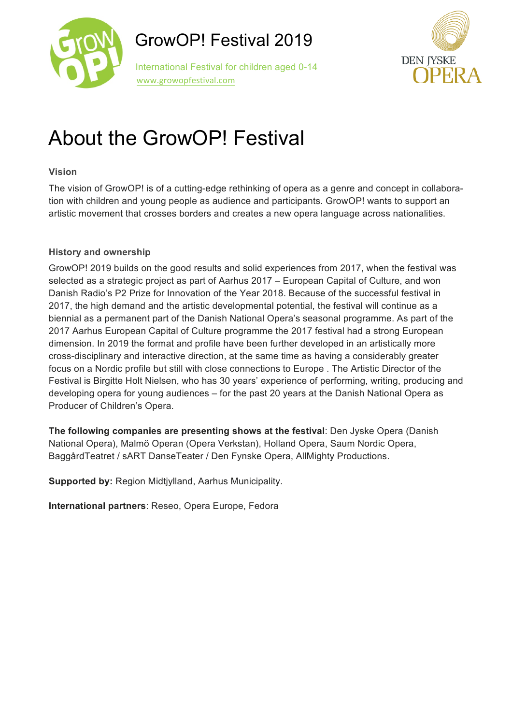

 International Festival for children aged 0-14 www.growopfestival.com



## About the GrowOP! Festival

#### **Vision**

The vision of GrowOP! is of a cutting-edge rethinking of opera as a genre and concept in collaboration with children and young people as audience and participants. GrowOP! wants to support an artistic movement that crosses borders and creates a new opera language across nationalities.

#### **History and ownership**

GrowOP! 2019 builds on the good results and solid experiences from 2017, when the festival was selected as a strategic project as part of Aarhus 2017 – European Capital of Culture, and won Danish Radio's P2 Prize for Innovation of the Year 2018. Because of the successful festival in 2017, the high demand and the artistic developmental potential, the festival will continue as a biennial as a permanent part of the Danish National Opera's seasonal programme. As part of the 2017 Aarhus European Capital of Culture programme the 2017 festival had a strong European dimension. In 2019 the format and profile have been further developed in an artistically more cross-disciplinary and interactive direction, at the same time as having a considerably greater focus on a Nordic profile but still with close connections to Europe . The Artistic Director of the Festival is Birgitte Holt Nielsen, who has 30 years' experience of performing, writing, producing and developing opera for young audiences – for the past 20 years at the Danish National Opera as Producer of Children's Opera.

**The following companies are presenting shows at the festival**: Den Jyske Opera (Danish National Opera), Malmö Operan (Opera Verkstan), Holland Opera, Saum Nordic Opera, BaggårdTeatret / sART DanseTeater / Den Fynske Opera, AllMighty Productions.

**Supported by:** Region Midtjylland, Aarhus Municipality.

**International partners**: Reseo, Opera Europe, Fedora